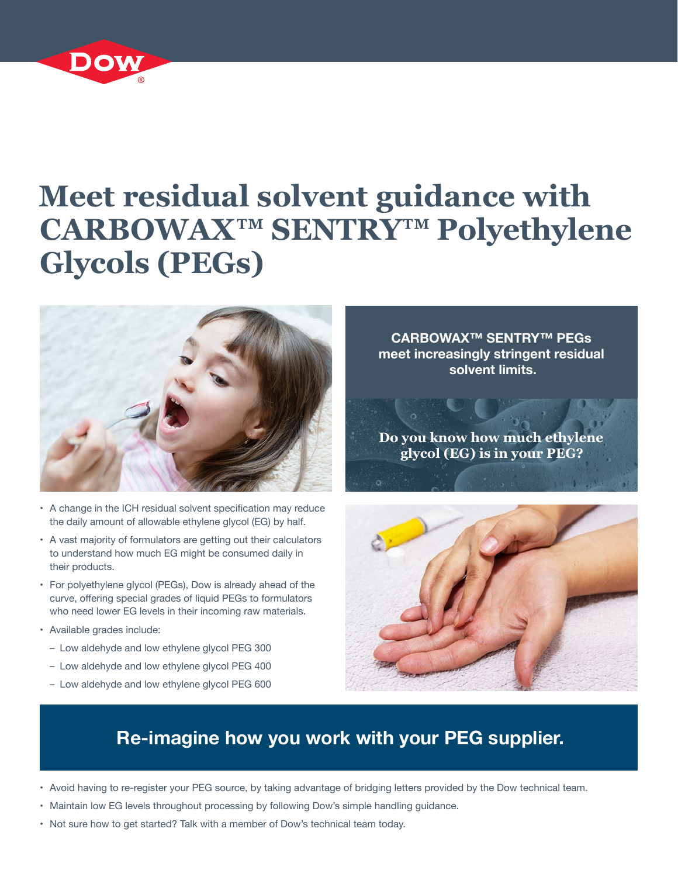

# **Meet residual solvent guidance with CARBOWAX™ SENTRY™ Polyethylene Glycols (PEGs)**



- A change in the ICH residual solvent specification may reduce the daily amount of allowable ethylene glycol (EG) by half.
- A vast majority of formulators are getting out their calculators to understand how much EG might be consumed daily in their products.
- • For polyethylene glycol (PEGs), Dow is already ahead of the curve, offering special grades of liquid PEGs to formulators who need lower EG levels in their incoming raw materials.
- • Available grades include:
	- Low aldehyde and low ethylene glycol PEG 300
	- Low aldehyde and low ethylene glycol PEG 400
	- Low aldehyde and low ethylene glycol PEG 600

**CARBOWAX™ SENTRY™ PEGs meet increasingly stringent residual solvent limits.**

**Do you know how much ethylene glycol (EG) is in your PEG?**



## **Re-imagine how you work with your PEG supplier.**

- • Avoid having to re-register your PEG source, by taking advantage of bridging letters provided by the Dow technical team.
- Maintain low EG levels throughout processing by following Dow's simple handling guidance.
- • Not sure how to get started? Talk with a member of Dow's technical team today.